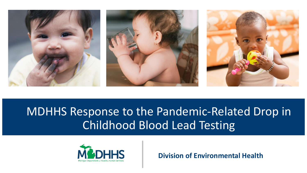

# MDHHS Response to the Pandemic-Related Drop in Childhood Blood Lead Testing



**Division of Environmental Health**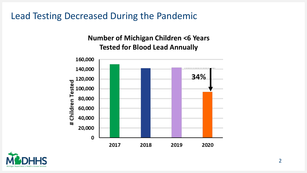Lead Testing Decreased During the Pandemic

#### **Number of Michigan Children <6 Years Tested for Blood Lead Annually**



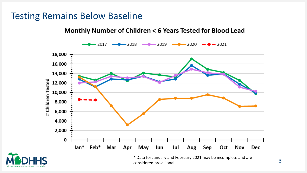### Testing Remains Below Baseline

#### Monthly Number of Children < 6 Years Tested for Blood Lead

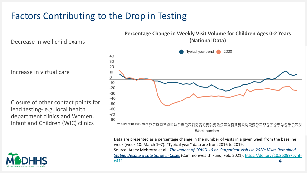### Factors Contributing to the Drop in Testing

Decrease in well child exams

Increase in virtual care

Closure of other contact points for lead testing- e.g. local health department clinics and Women, Infant and Children (WIC) clinics





4 Data are presented as a percentage change in the number of visits in a given week from the baseline week (week 10: March 1–7). "Typical year" data are from 2016 to 2019. Source: Ateev Mehrotra et al., *[The Impact of COVID-19 on Outpatient Visits in 2020: Visits Remained](https://www.commonwealthfund.org/publications/2021/feb/impact-covid-19-outpatient-visits-2020-visits-remained-stable-despite-late)  Stable, Despite a Late Surge in Cases* [\(Commonwealth Fund, Feb. 2021\). https://doi.org/10.26099/bvhf](https://doi.org/10.26099/bvhf-e411)e411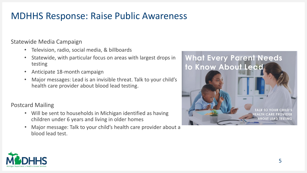### MDHHS Response: Raise Public Awareness

Statewide Media Campaign

- Television, radio, social media, & billboards
- Statewide, with particular focus on areas with largest drops in testing
- Anticipate 18-month campaign
- Major messages: Lead is an invisible threat. Talk to your child's health care provider about blood lead testing.

#### Postcard Mailing

- Will be sent to households in Michigan identified as having children under 6 years and living in older homes
- Major message: Talk to your child's health care provider about a blood lead test.



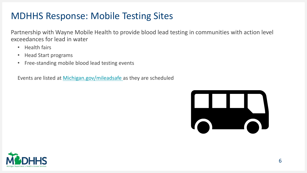### MDHHS Response: Mobile Testing Sites

Partnership with Wayne Mobile Health to provide blood lead testing in communities with action level exceedances for lead in water

- Health fairs
- Head Start programs
- Free-standing mobile blood lead testing events

Events are listed at [Michigan.gov/mileadsafe](michigan.gov/mileadsafe) as they are scheduled



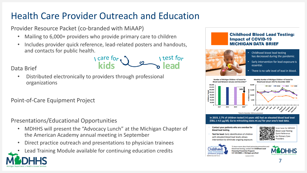## Health Care Provider Outreach and Education

Provider Resource Packet (co-branded with MiAAP)

- Mailing to 6,000+ providers who provide primary care to children
- Includes provider quick reference, lead-related posters and handouts, and contacts for public health.

 $\sqrt{c}$  care for  $\sqrt{c}$ I test for

#### Data Brief

• Distributed electronically to providers through professional organizations

#### Point-of-Care Equipment Project

Presentations/Educational Opportunities

- MDHHS will present the "Advocacy Lunch" at the Michigan Chapter of the American Academy annual meeting in September
- Direct practice outreach and presentations to physician trainees
- Lead Training Module available for continuing education credits

#### **Childhood Blood Lead Testing: Impact of COVID-19 MICHIGAN DATA BRIEF**



- Childhood blood lead testing has decreased during the pandemic.
- Early intervention for lead exposure is essential.
- There is no safe level of lead in blood.



- Contact your patients who are overdue for blood lead testing.
- Test for lead. Early identification of children with elevated blood lead levels allows intervention to eliminate ongoing exposure





To learn more about lead poisoning prevention and blood lead testing, contact the Childhood Lead **Poisoning Prevention Program:** 517-335-8885 or Michigan.gov/lead Jodated 4/2021

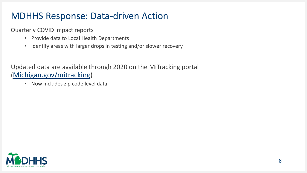### MDHHS Response: Data-driven Action

Quarterly COVID impact reports

- Provide data to Local Health Departments
- Identify areas with larger drops in testing and/or slower recovery

Updated data are available through 2020 on the MiTracking portal ([Michigan.gov/mitracking\)](http://www.michigan.gov/mitracking)

• Now includes zip code level data